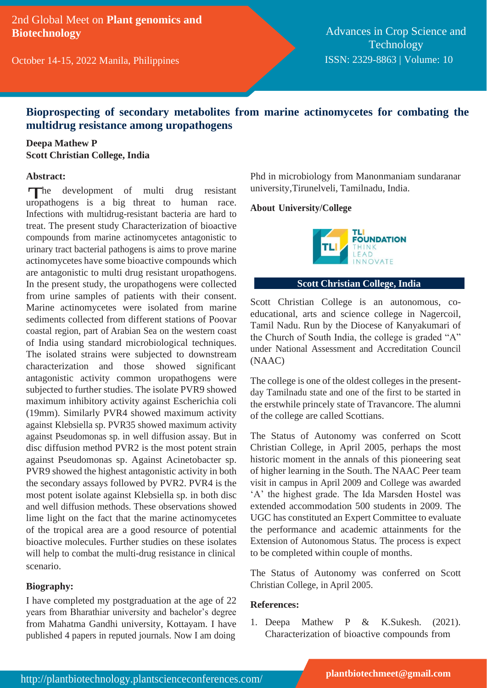2nd Global Meet on **Plant genomics and Biotechnology**

October 14-15, 2022 Manila, Philippines

Advances in Crop Science and **Technology** ISSN: 2329-8863 | Volume: 10

# **Bioprospecting of secondary metabolites from marine actinomycetes for combating the multidrug resistance among uropathogens**

### **Deepa Mathew P Scott Christian College, India**

#### **Abstract:**

The development of multi drug resistant<br>uropathogens is a big threat to human race. The development of multi drug resistant Infections with multidrug-resistant bacteria are hard to treat. The present study Characterization of bioactive compounds from marine actinomycetes antagonistic to urinary tract bacterial pathogens is aims to prove marine actinomycetes have some bioactive compounds which are antagonistic to multi drug resistant uropathogens. In the present study, the uropathogens were collected from urine samples of patients with their consent. Marine actinomycetes were isolated from marine sediments collected from different stations of Poovar coastal region, part of Arabian Sea on the western coast of India using standard microbiological techniques. The isolated strains were subjected to downstream characterization and those showed significant antagonistic activity common uropathogens were subjected to further studies. The isolate PVR9 showed maximum inhibitory activity against Escherichia coli (19mm). Similarly PVR4 showed maximum activity against Klebsiella sp. PVR35 showed maximum activity against Pseudomonas sp. in well diffusion assay. But in disc diffusion method PVR2 is the most potent strain against Pseudomonas sp. Against Acinetobacter sp. PVR9 showed the highest antagonistic activity in both the secondary assays followed by PVR2. PVR4 is the most potent isolate against Klebsiella sp. in both disc and well diffusion methods. These observations showed lime light on the fact that the marine actinomycetes of the tropical area are a good resource of potential bioactive molecules. Further studies on these isolates will help to combat the multi-drug resistance in clinical scenario.

#### **Biography:**

I have completed my postgraduation at the age of 22 years from Bharathiar university and bachelor's degree from Mahatma Gandhi university, Kottayam. I have published 4 papers in reputed journals. Now I am doing

Phd in microbiology from Manonmaniam sundaranar university,Tirunelveli, Tamilnadu, India.

#### **About University/College**



### **Scott Christian College, India**

Scott Christian College is an autonomous, coeducational, arts and science college in Nagercoil, Tamil Nadu. Run by the Diocese of Kanyakumari of the Church of South India, the college is graded "A" under National Assessment and Accreditation Council (NAAC)

The college is one of the oldest colleges in the presentday Tamilnadu state and one of the first to be started in the erstwhile princely state of Travancore. The alumni of the college are called Scottians.

The Status of Autonomy was conferred on Scott Christian College, in April 2005, perhaps the most historic moment in the annals of this pioneering seat of higher learning in the South. The NAAC Peer team visit in campus in April 2009 and College was awarded 'A' the highest grade. The Ida Marsden Hostel was extended accommodation 500 students in 2009. The UGC has constituted an Expert Committee to evaluate the performance and academic attainments for the Extension of Autonomous Status. The process is expect to be completed within couple of months.

The Status of Autonomy was conferred on Scott Christian College, in April 2005.

#### **References:**

1. Deepa Mathew P & K.Sukesh. (2021). Characterization of bioactive compounds from